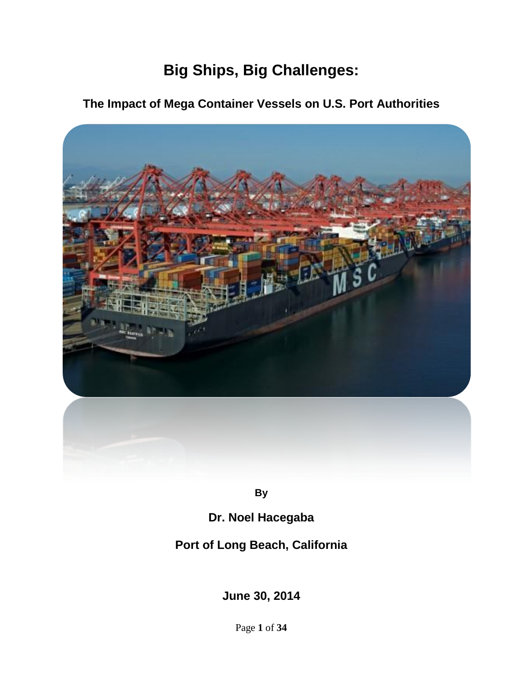# **Big Ships, Big Challenges:**

# **The Impact of Mega Container Vessels on U.S. Port Authorities**



**By** 

# **Dr. Noel Hacegaba**

## **Port of Long Beach, California**

**June 30, 2014**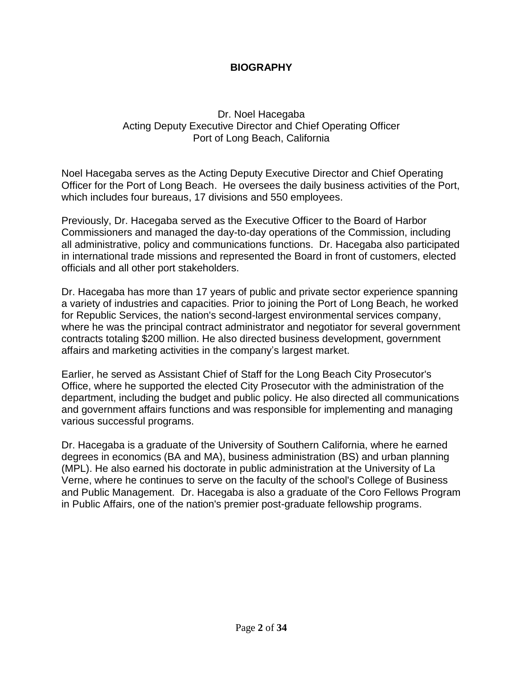## **BIOGRAPHY**

## Dr. Noel Hacegaba Acting Deputy Executive Director and Chief Operating Officer Port of Long Beach, California

Noel Hacegaba serves as the Acting Deputy Executive Director and Chief Operating Officer for the Port of Long Beach. He oversees the daily business activities of the Port, which includes four bureaus, 17 divisions and 550 employees.

Previously, Dr. Hacegaba served as the Executive Officer to the Board of Harbor Commissioners and managed the day-to-day operations of the Commission, including all administrative, policy and communications functions. Dr. Hacegaba also participated in international trade missions and represented the Board in front of customers, elected officials and all other port stakeholders.

Dr. Hacegaba has more than 17 years of public and private sector experience spanning a variety of industries and capacities. Prior to joining the Port of Long Beach, he worked for Republic Services, the nation's second-largest environmental services company, where he was the principal contract administrator and negotiator for several government contracts totaling \$200 million. He also directed business development, government affairs and marketing activities in the company's largest market.

Earlier, he served as Assistant Chief of Staff for the Long Beach City Prosecutor's Office, where he supported the elected City Prosecutor with the administration of the department, including the budget and public policy. He also directed all communications and government affairs functions and was responsible for implementing and managing various successful programs.

Dr. Hacegaba is a graduate of the University of Southern California, where he earned degrees in economics (BA and MA), business administration (BS) and urban planning (MPL). He also earned his doctorate in public administration at the University of La Verne, where he continues to serve on the faculty of the school's College of Business and Public Management. Dr. Hacegaba is also a graduate of the Coro Fellows Program in Public Affairs, one of the nation's premier post-graduate fellowship programs.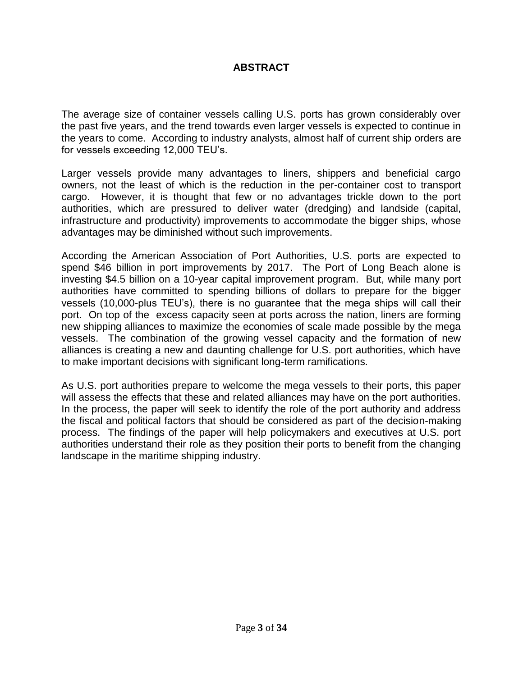## **ABSTRACT**

The average size of container vessels calling U.S. ports has grown considerably over the past five years, and the trend towards even larger vessels is expected to continue in the years to come. According to industry analysts, almost half of current ship orders are for vessels exceeding 12,000 TEU's.

Larger vessels provide many advantages to liners, shippers and beneficial cargo owners, not the least of which is the reduction in the per-container cost to transport cargo. However, it is thought that few or no advantages trickle down to the port authorities, which are pressured to deliver water (dredging) and landside (capital, infrastructure and productivity) improvements to accommodate the bigger ships, whose advantages may be diminished without such improvements.

According the American Association of Port Authorities, U.S. ports are expected to spend \$46 billion in port improvements by 2017. The Port of Long Beach alone is investing \$4.5 billion on a 10-year capital improvement program. But, while many port authorities have committed to spending billions of dollars to prepare for the bigger vessels (10,000-plus TEU's), there is no guarantee that the mega ships will call their port. On top of the excess capacity seen at ports across the nation, liners are forming new shipping alliances to maximize the economies of scale made possible by the mega vessels. The combination of the growing vessel capacity and the formation of new alliances is creating a new and daunting challenge for U.S. port authorities, which have to make important decisions with significant long-term ramifications.

As U.S. port authorities prepare to welcome the mega vessels to their ports, this paper will assess the effects that these and related alliances may have on the port authorities. In the process, the paper will seek to identify the role of the port authority and address the fiscal and political factors that should be considered as part of the decision-making process. The findings of the paper will help policymakers and executives at U.S. port authorities understand their role as they position their ports to benefit from the changing landscape in the maritime shipping industry.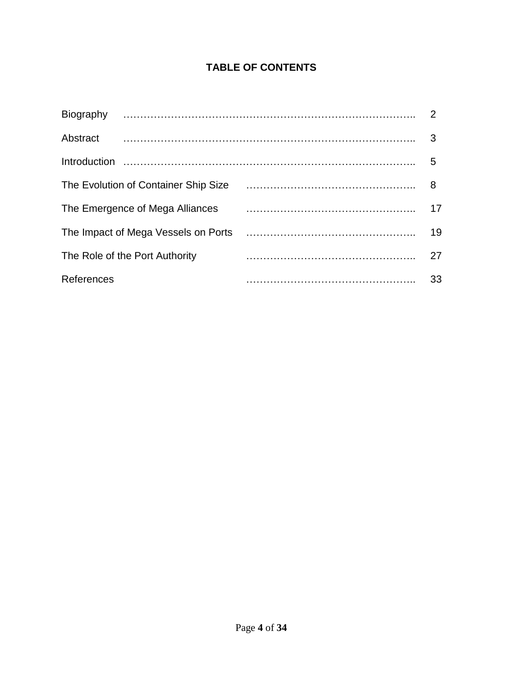## **TABLE OF CONTENTS**

| Biography                            | $\overline{2}$ |
|--------------------------------------|----------------|
| Abstract                             | 3              |
|                                      | 5              |
| The Evolution of Container Ship Size | 8              |
| The Emergence of Mega Alliances      | 17             |
| The Impact of Mega Vessels on Ports  | 19             |
| The Role of the Port Authority       | 27             |
| References                           | 33             |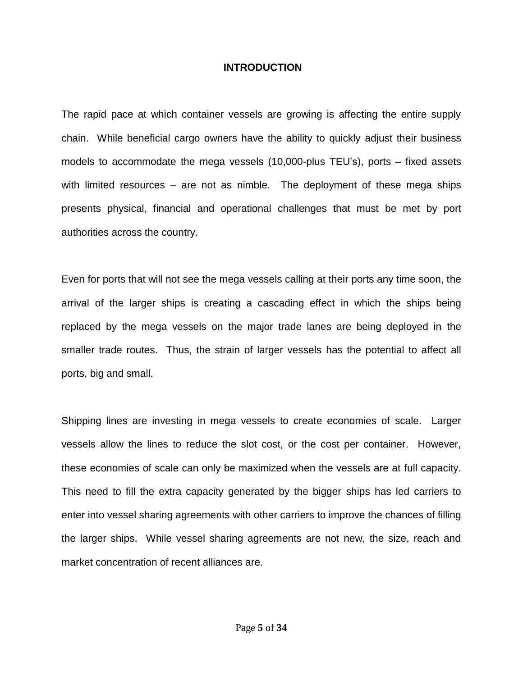#### **INTRODUCTION**

The rapid pace at which container vessels are growing is affecting the entire supply chain. While beneficial cargo owners have the ability to quickly adjust their business models to accommodate the mega vessels (10,000-plus TEU's), ports – fixed assets with limited resources – are not as nimble. The deployment of these mega ships presents physical, financial and operational challenges that must be met by port authorities across the country.

Even for ports that will not see the mega vessels calling at their ports any time soon, the arrival of the larger ships is creating a cascading effect in which the ships being replaced by the mega vessels on the major trade lanes are being deployed in the smaller trade routes. Thus, the strain of larger vessels has the potential to affect all ports, big and small.

Shipping lines are investing in mega vessels to create economies of scale. Larger vessels allow the lines to reduce the slot cost, or the cost per container. However, these economies of scale can only be maximized when the vessels are at full capacity. This need to fill the extra capacity generated by the bigger ships has led carriers to enter into vessel sharing agreements with other carriers to improve the chances of filling the larger ships. While vessel sharing agreements are not new, the size, reach and market concentration of recent alliances are.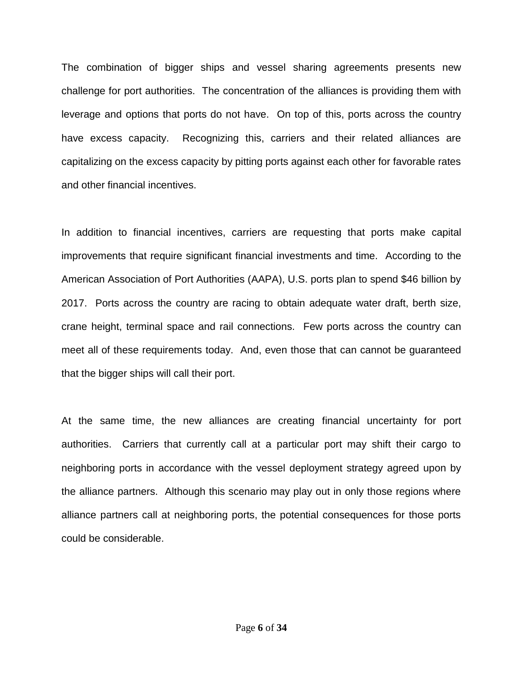The combination of bigger ships and vessel sharing agreements presents new challenge for port authorities. The concentration of the alliances is providing them with leverage and options that ports do not have. On top of this, ports across the country have excess capacity. Recognizing this, carriers and their related alliances are capitalizing on the excess capacity by pitting ports against each other for favorable rates and other financial incentives.

In addition to financial incentives, carriers are requesting that ports make capital improvements that require significant financial investments and time. According to the American Association of Port Authorities (AAPA), U.S. ports plan to spend \$46 billion by 2017. Ports across the country are racing to obtain adequate water draft, berth size, crane height, terminal space and rail connections. Few ports across the country can meet all of these requirements today. And, even those that can cannot be guaranteed that the bigger ships will call their port.

At the same time, the new alliances are creating financial uncertainty for port authorities. Carriers that currently call at a particular port may shift their cargo to neighboring ports in accordance with the vessel deployment strategy agreed upon by the alliance partners. Although this scenario may play out in only those regions where alliance partners call at neighboring ports, the potential consequences for those ports could be considerable.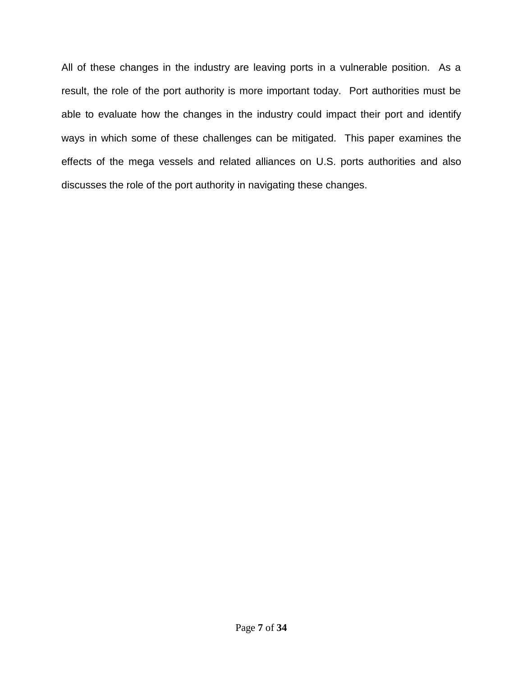All of these changes in the industry are leaving ports in a vulnerable position. As a result, the role of the port authority is more important today. Port authorities must be able to evaluate how the changes in the industry could impact their port and identify ways in which some of these challenges can be mitigated. This paper examines the effects of the mega vessels and related alliances on U.S. ports authorities and also discusses the role of the port authority in navigating these changes.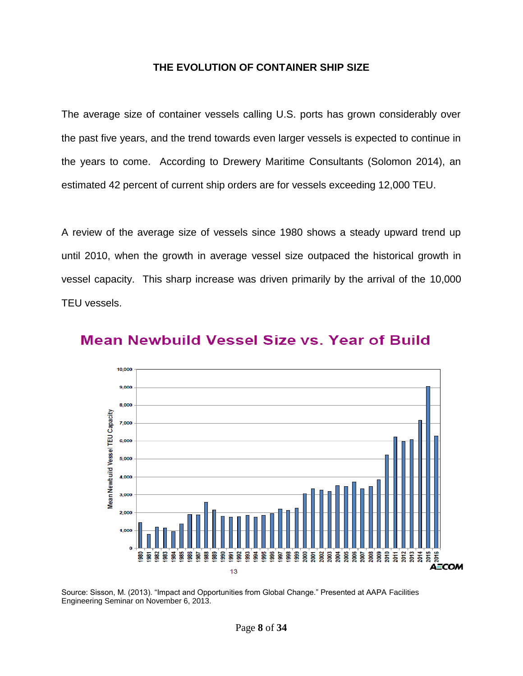### **THE EVOLUTION OF CONTAINER SHIP SIZE**

The average size of container vessels calling U.S. ports has grown considerably over the past five years, and the trend towards even larger vessels is expected to continue in the years to come. According to Drewery Maritime Consultants (Solomon 2014), an estimated 42 percent of current ship orders are for vessels exceeding 12,000 TEU.

A review of the average size of vessels since 1980 shows a steady upward trend up until 2010, when the growth in average vessel size outpaced the historical growth in vessel capacity. This sharp increase was driven primarily by the arrival of the 10,000 TEU vessels.



## Mean Newbuild Vessel Size vs. Year of Build

Source: Sisson, M. (2013). "Impact and Opportunities from Global Change." Presented at AAPA Facilities Engineering Seminar on November 6, 2013.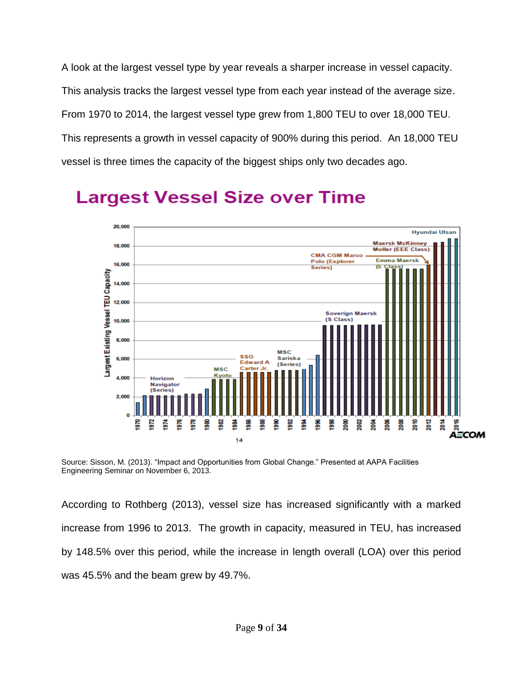A look at the largest vessel type by year reveals a sharper increase in vessel capacity. This analysis tracks the largest vessel type from each year instead of the average size. From 1970 to 2014, the largest vessel type grew from 1,800 TEU to over 18,000 TEU. This represents a growth in vessel capacity of 900% during this period. An 18,000 TEU vessel is three times the capacity of the biggest ships only two decades ago.



# **Largest Vessel Size over Time**

Source: Sisson, M. (2013). "Impact and Opportunities from Global Change." Presented at AAPA Facilities Engineering Seminar on November 6, 2013.

According to Rothberg (2013), vessel size has increased significantly with a marked increase from 1996 to 2013. The growth in capacity, measured in TEU, has increased by 148.5% over this period, while the increase in length overall (LOA) over this period was 45.5% and the beam grew by 49.7%.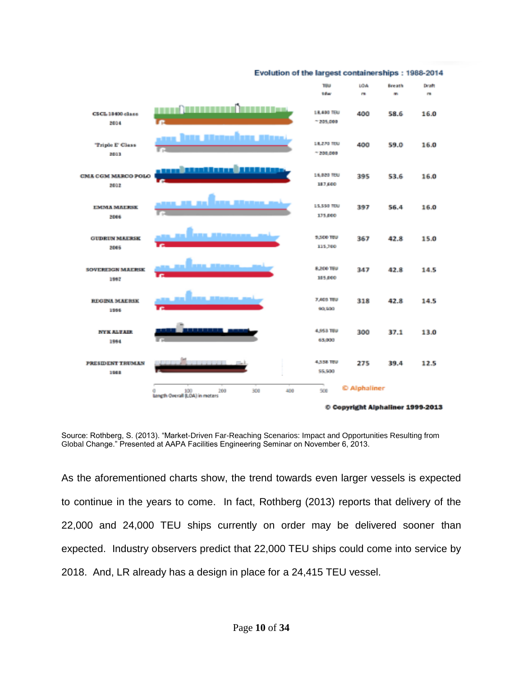

Source: Rothberg, S. (2013). "Market-Driven Far-Reaching Scenarios: Impact and Opportunities Resulting from Global Change." Presented at AAPA Facilities Engineering Seminar on November 6, 2013.

As the aforementioned charts show, the trend towards even larger vessels is expected to continue in the years to come. In fact, Rothberg (2013) reports that delivery of the 22,000 and 24,000 TEU ships currently on order may be delivered sooner than expected. Industry observers predict that 22,000 TEU ships could come into service by 2018. And, LR already has a design in place for a 24,415 TEU vessel.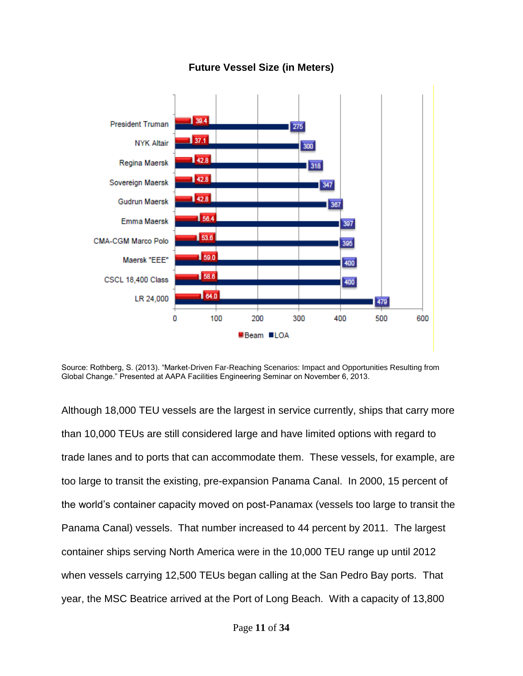

## **Future Vessel Size (in Meters)**



Although 18,000 TEU vessels are the largest in service currently, ships that carry more than 10,000 TEUs are still considered large and have limited options with regard to trade lanes and to ports that can accommodate them. These vessels, for example, are too large to transit the existing, pre-expansion Panama Canal. In 2000, 15 percent of the world's container capacity moved on post-Panamax (vessels too large to transit the Panama Canal) vessels. That number increased to 44 percent by 2011. The largest container ships serving North America were in the 10,000 TEU range up until 2012 when vessels carrying 12,500 TEUs began calling at the San Pedro Bay ports. That year, the MSC Beatrice arrived at the Port of Long Beach. With a capacity of 13,800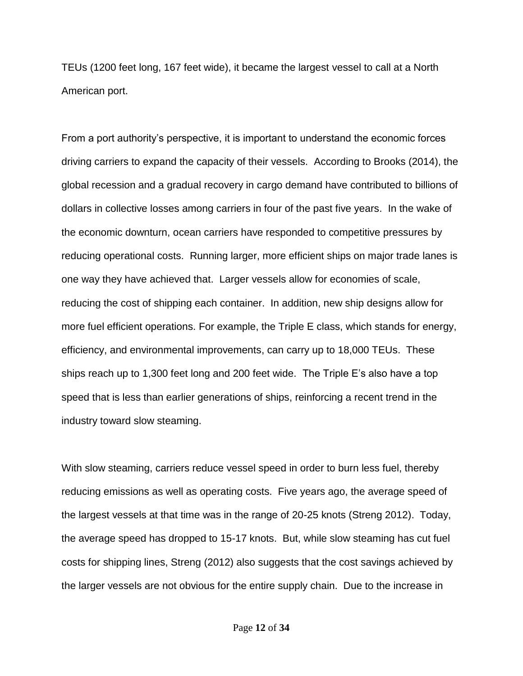TEUs (1200 feet long, 167 feet wide), it became the largest vessel to call at a North American port.

From a port authority's perspective, it is important to understand the economic forces driving carriers to expand the capacity of their vessels. According to Brooks (2014), the global recession and a gradual recovery in cargo demand have contributed to billions of dollars in collective losses among carriers in four of the past five years. In the wake of the economic downturn, ocean carriers have responded to competitive pressures by reducing operational costs. Running larger, more efficient ships on major trade lanes is one way they have achieved that. Larger vessels allow for economies of scale, reducing the cost of shipping each container. In addition, new ship designs allow for more fuel efficient operations. For example, the Triple E class, which stands for energy, efficiency, and environmental improvements, can carry up to 18,000 TEUs. These ships reach up to 1,300 feet long and 200 feet wide. The Triple E's also have a top speed that is less than earlier generations of ships, reinforcing a recent trend in the industry toward slow steaming.

With slow steaming, carriers reduce vessel speed in order to burn less fuel, thereby reducing emissions as well as operating costs. Five years ago, the average speed of the largest vessels at that time was in the range of 20-25 knots (Streng 2012). Today, the average speed has dropped to 15-17 knots. But, while slow steaming has cut fuel costs for shipping lines, Streng (2012) also suggests that the cost savings achieved by the larger vessels are not obvious for the entire supply chain. Due to the increase in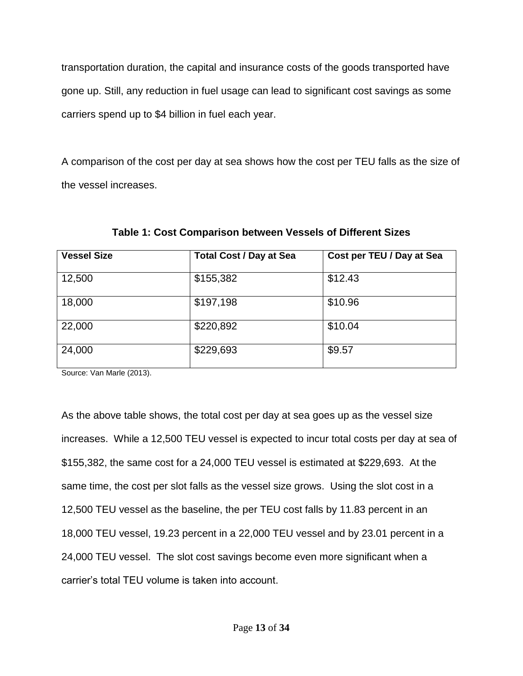transportation duration, the capital and insurance costs of the goods transported have gone up. Still, any reduction in fuel usage can lead to significant cost savings as some carriers spend up to \$4 billion in fuel each year.

A comparison of the cost per day at sea shows how the cost per TEU falls as the size of the vessel increases.

| <b>Vessel Size</b> | <b>Total Cost / Day at Sea</b> | Cost per TEU / Day at Sea |
|--------------------|--------------------------------|---------------------------|
| 12,500             | \$155,382                      | \$12.43                   |
| 18,000             | \$197,198                      | \$10.96                   |
| 22,000             | \$220,892                      | \$10.04                   |
| 24,000             | \$229,693                      | \$9.57                    |

**Table 1: Cost Comparison between Vessels of Different Sizes**

Source: Van Marle (2013).

As the above table shows, the total cost per day at sea goes up as the vessel size increases. While a 12,500 TEU vessel is expected to incur total costs per day at sea of \$155,382, the same cost for a 24,000 TEU vessel is estimated at \$229,693. At the same time, the cost per slot falls as the vessel size grows. Using the slot cost in a 12,500 TEU vessel as the baseline, the per TEU cost falls by 11.83 percent in an 18,000 TEU vessel, 19.23 percent in a 22,000 TEU vessel and by 23.01 percent in a 24,000 TEU vessel. The slot cost savings become even more significant when a carrier's total TEU volume is taken into account.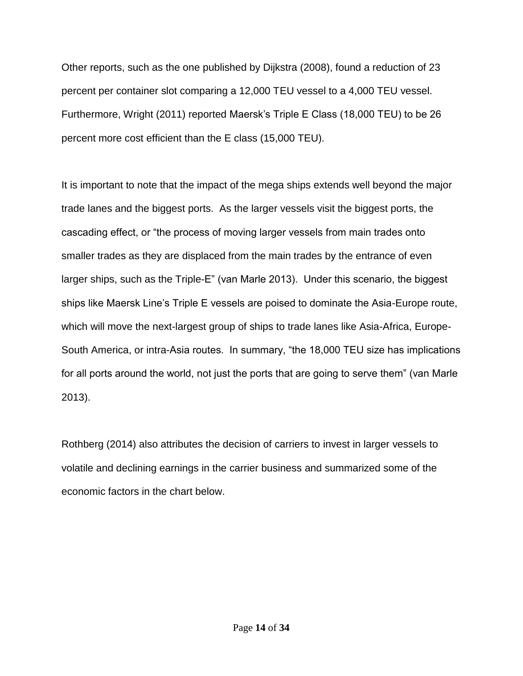Other reports, such as the one published by Dijkstra (2008), found a reduction of 23 percent per container slot comparing a 12,000 TEU vessel to a 4,000 TEU vessel. Furthermore, Wright (2011) reported Maersk's Triple E Class (18,000 TEU) to be 26 percent more cost efficient than the E class (15,000 TEU).

It is important to note that the impact of the mega ships extends well beyond the major trade lanes and the biggest ports. As the larger vessels visit the biggest ports, the cascading effect, or "the process of moving larger vessels from main trades onto smaller trades as they are displaced from the main trades by the entrance of even larger ships, such as the Triple-E" (van Marle 2013). Under this scenario, the biggest ships like Maersk Line's Triple E vessels are poised to dominate the Asia-Europe route, which will move the next-largest group of ships to trade lanes like Asia-Africa, Europe-South America, or intra-Asia routes. In summary, "the 18,000 TEU size has implications for all ports around the world, not just the ports that are going to serve them" (van Marle 2013).

Rothberg (2014) also attributes the decision of carriers to invest in larger vessels to volatile and declining earnings in the carrier business and summarized some of the economic factors in the chart below.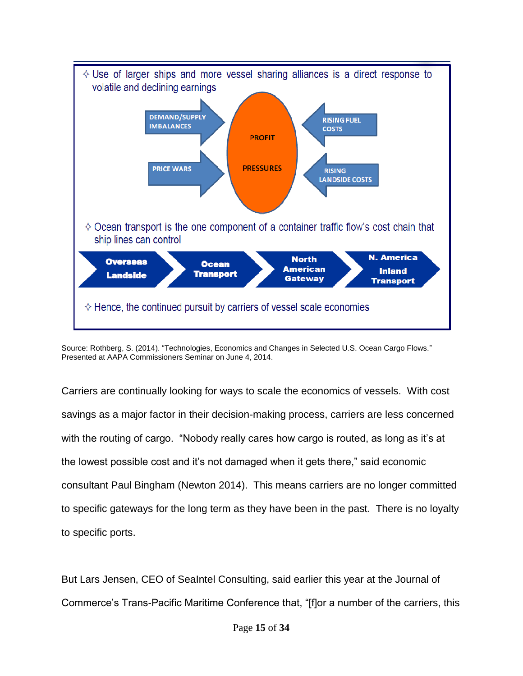

Source: Rothberg, S. (2014). "Technologies, Economics and Changes in Selected U.S. Ocean Cargo Flows." Presented at AAPA Commissioners Seminar on June 4, 2014.

Carriers are continually looking for ways to scale the economics of vessels. With cost savings as a major factor in their decision-making process, carriers are less concerned with the routing of cargo. "Nobody really cares how cargo is routed, as long as it's at the lowest possible cost and it's not damaged when it gets there," said economic consultant Paul Bingham (Newton 2014). This means carriers are no longer committed to specific gateways for the long term as they have been in the past. There is no loyalty to specific ports.

But Lars Jensen, CEO of SeaIntel Consulting, said earlier this year at the Journal of Commerce's Trans-Pacific Maritime Conference that, "[f]or a number of the carriers, this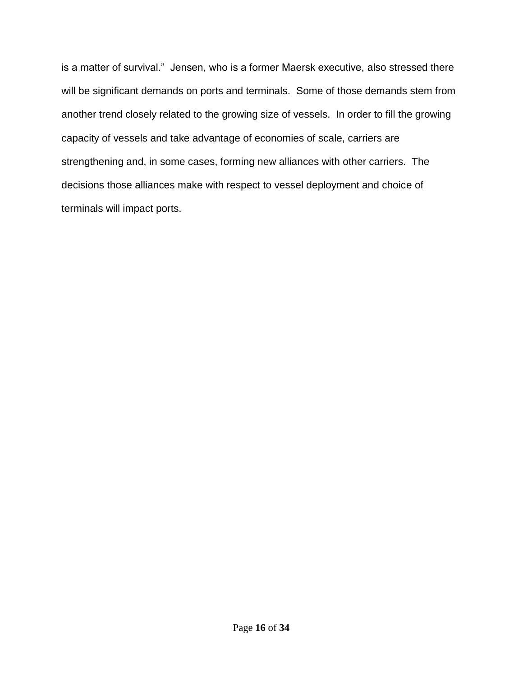is a matter of survival." Jensen, who is a former Maersk executive, also stressed there will be significant demands on ports and terminals. Some of those demands stem from another trend closely related to the growing size of vessels. In order to fill the growing capacity of vessels and take advantage of economies of scale, carriers are strengthening and, in some cases, forming new alliances with other carriers. The decisions those alliances make with respect to vessel deployment and choice of terminals will impact ports.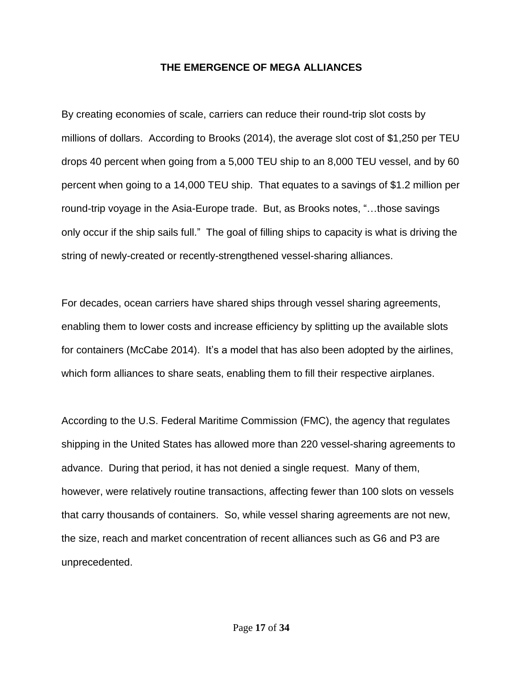### **THE EMERGENCE OF MEGA ALLIANCES**

By creating economies of scale, carriers can reduce their round-trip slot costs by millions of dollars. According to Brooks (2014), the average slot cost of \$1,250 per TEU drops 40 percent when going from a 5,000 TEU ship to an 8,000 TEU vessel, and by 60 percent when going to a 14,000 TEU ship. That equates to a savings of \$1.2 million per round-trip voyage in the Asia-Europe trade. But, as Brooks notes, "…those savings only occur if the ship sails full." The goal of filling ships to capacity is what is driving the string of newly-created or recently-strengthened vessel-sharing alliances.

For decades, ocean carriers have shared ships through vessel sharing agreements, enabling them to lower costs and increase efficiency by splitting up the available slots for containers (McCabe 2014). It's a model that has also been adopted by the airlines, which form alliances to share seats, enabling them to fill their respective airplanes.

According to the U.S. Federal Maritime Commission (FMC), the agency that regulates shipping in the United States has allowed more than 220 vessel-sharing agreements to advance. During that period, it has not denied a single request. Many of them, however, were relatively routine transactions, affecting fewer than 100 slots on vessels that carry thousands of containers. So, while vessel sharing agreements are not new, the size, reach and market concentration of recent alliances such as G6 and P3 are unprecedented.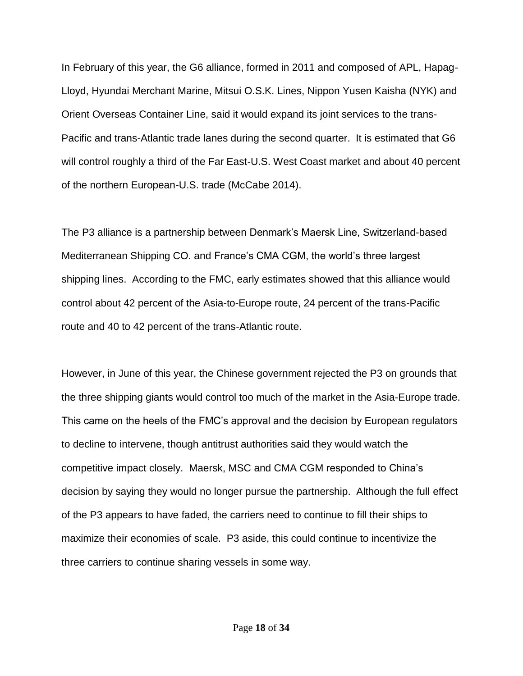In February of this year, the G6 alliance, formed in 2011 and composed of APL, Hapag-Lloyd, Hyundai Merchant Marine, Mitsui O.S.K. Lines, Nippon Yusen Kaisha (NYK) and Orient Overseas Container Line, said it would expand its joint services to the trans-Pacific and trans-Atlantic trade lanes during the second quarter. It is estimated that G6 will control roughly a third of the Far East-U.S. West Coast market and about 40 percent of the northern European-U.S. trade (McCabe 2014).

The P3 alliance is a partnership between Denmark's Maersk Line, Switzerland-based Mediterranean Shipping CO. and France's CMA CGM, the world's three largest shipping lines. According to the FMC, early estimates showed that this alliance would control about 42 percent of the Asia-to-Europe route, 24 percent of the trans-Pacific route and 40 to 42 percent of the trans-Atlantic route.

However, in June of this year, the Chinese government rejected the P3 on grounds that the three shipping giants would control too much of the market in the Asia-Europe trade. This came on the heels of the FMC's approval and the decision by European regulators to decline to intervene, though antitrust authorities said they would watch the competitive impact closely. Maersk, MSC and CMA CGM responded to China's decision by saying they would no longer pursue the partnership. Although the full effect of the P3 appears to have faded, the carriers need to continue to fill their ships to maximize their economies of scale. P3 aside, this could continue to incentivize the three carriers to continue sharing vessels in some way.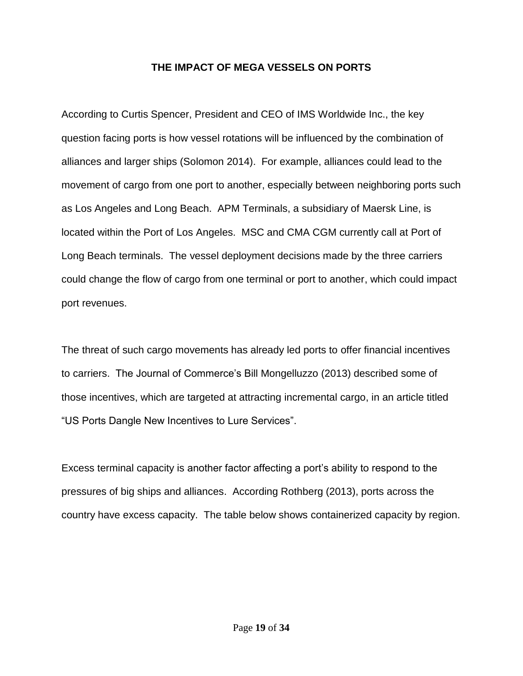## **THE IMPACT OF MEGA VESSELS ON PORTS**

According to Curtis Spencer, President and CEO of IMS Worldwide Inc., the key question facing ports is how vessel rotations will be influenced by the combination of alliances and larger ships (Solomon 2014). For example, alliances could lead to the movement of cargo from one port to another, especially between neighboring ports such as Los Angeles and Long Beach. APM Terminals, a subsidiary of Maersk Line, is located within the Port of Los Angeles. MSC and CMA CGM currently call at Port of Long Beach terminals. The vessel deployment decisions made by the three carriers could change the flow of cargo from one terminal or port to another, which could impact port revenues.

The threat of such cargo movements has already led ports to offer financial incentives to carriers. The Journal of Commerce's Bill Mongelluzzo (2013) described some of those incentives, which are targeted at attracting incremental cargo, in an article titled "US Ports Dangle New Incentives to Lure Services".

Excess terminal capacity is another factor affecting a port's ability to respond to the pressures of big ships and alliances. According Rothberg (2013), ports across the country have excess capacity. The table below shows containerized capacity by region.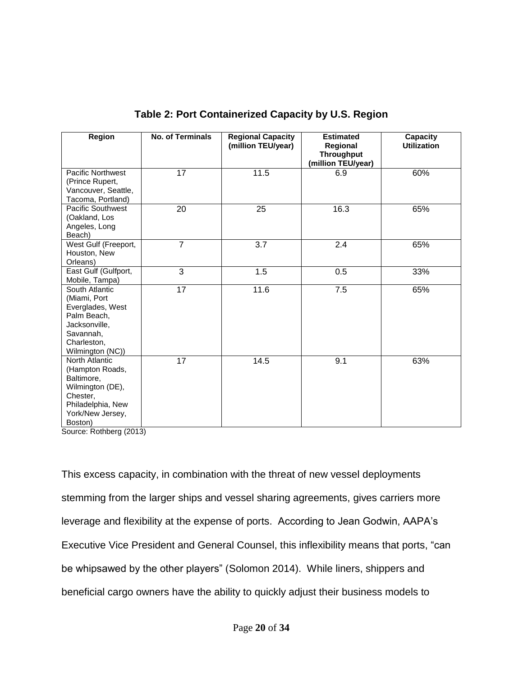| Region                                                                                                                              | No. of Terminals | <b>Regional Capacity</b><br>(million TEU/year) | <b>Estimated</b><br>Regional<br><b>Throughput</b><br>(million TEU/year) | Capacity<br><b>Utilization</b> |
|-------------------------------------------------------------------------------------------------------------------------------------|------------------|------------------------------------------------|-------------------------------------------------------------------------|--------------------------------|
| <b>Pacific Northwest</b><br>(Prince Rupert,<br>Vancouver, Seattle,<br>Tacoma, Portland)                                             | 17               | 11.5                                           | 6.9                                                                     | 60%                            |
| Pacific Southwest<br>(Oakland, Los<br>Angeles, Long<br>Beach)                                                                       | 20               | 25                                             | 16.3                                                                    | 65%                            |
| West Gulf (Freeport,<br>Houston, New<br>Orleans)                                                                                    | $\overline{7}$   | $\overline{3.7}$                               | $\overline{2.4}$                                                        | 65%                            |
| East Gulf (Gulfport,<br>Mobile, Tampa)                                                                                              | 3                | 1.5                                            | 0.5                                                                     | 33%                            |
| South Atlantic<br>(Miami, Port<br>Everglades, West<br>Palm Beach,<br>Jacksonville,<br>Savannah,<br>Charleston,<br>Wilmington (NC))  | 17               | 11.6                                           | 7.5                                                                     | 65%                            |
| North Atlantic<br>(Hampton Roads,<br>Baltimore,<br>Wilmington (DE),<br>Chester,<br>Philadelphia, New<br>York/New Jersey,<br>Boston) | 17               | 14.5                                           | 9.1                                                                     | 63%                            |

## **Table 2: Port Containerized Capacity by U.S. Region**

Source: Rothberg (2013)

This excess capacity, in combination with the threat of new vessel deployments stemming from the larger ships and vessel sharing agreements, gives carriers more leverage and flexibility at the expense of ports. According to Jean Godwin, AAPA's Executive Vice President and General Counsel, this inflexibility means that ports, "can be whipsawed by the other players" (Solomon 2014). While liners, shippers and beneficial cargo owners have the ability to quickly adjust their business models to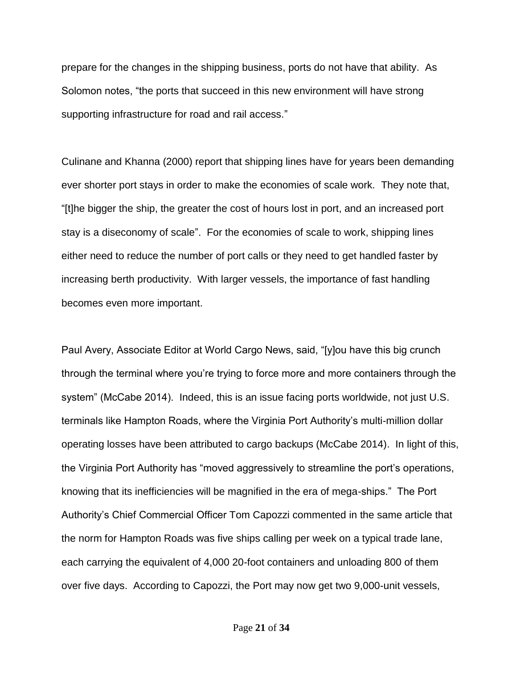prepare for the changes in the shipping business, ports do not have that ability. As Solomon notes, "the ports that succeed in this new environment will have strong supporting infrastructure for road and rail access."

Culinane and Khanna (2000) report that shipping lines have for years been demanding ever shorter port stays in order to make the economies of scale work. They note that, "[t]he bigger the ship, the greater the cost of hours lost in port, and an increased port stay is a diseconomy of scale". For the economies of scale to work, shipping lines either need to reduce the number of port calls or they need to get handled faster by increasing berth productivity. With larger vessels, the importance of fast handling becomes even more important.

Paul Avery, Associate Editor at World Cargo News, said, "[y]ou have this big crunch through the terminal where you're trying to force more and more containers through the system" (McCabe 2014). Indeed, this is an issue facing ports worldwide, not just U.S. terminals like Hampton Roads, where the Virginia Port Authority's multi-million dollar operating losses have been attributed to cargo backups (McCabe 2014). In light of this, the Virginia Port Authority has "moved aggressively to streamline the port's operations, knowing that its inefficiencies will be magnified in the era of mega-ships." The Port Authority's Chief Commercial Officer Tom Capozzi commented in the same article that the norm for Hampton Roads was five ships calling per week on a typical trade lane, each carrying the equivalent of 4,000 20-foot containers and unloading 800 of them over five days. According to Capozzi, the Port may now get two 9,000-unit vessels,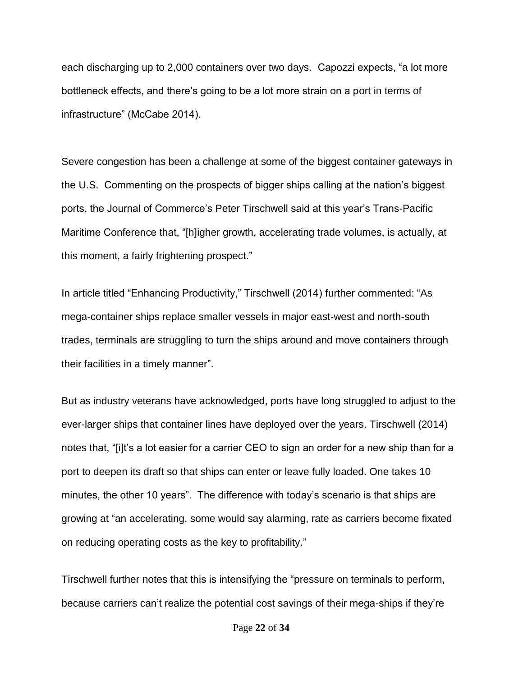each discharging up to 2,000 containers over two days. Capozzi expects, "a lot more bottleneck effects, and there's going to be a lot more strain on a port in terms of infrastructure" (McCabe 2014).

Severe congestion has been a challenge at some of the biggest container gateways in the U.S. Commenting on the prospects of bigger ships calling at the nation's biggest ports, the Journal of Commerce's Peter Tirschwell said at this year's Trans-Pacific Maritime Conference that, "[h]igher growth, accelerating trade volumes, is actually, at this moment, a fairly frightening prospect."

In article titled "Enhancing Productivity," Tirschwell (2014) further commented: "As mega-container ships replace smaller vessels in major east-west and north-south trades, terminals are struggling to turn the ships around and move containers through their facilities in a timely manner".

But as industry veterans have acknowledged, ports have long struggled to adjust to the ever-larger ships that container lines have deployed over the years. Tirschwell (2014) notes that, "[i]t's a lot easier for a carrier CEO to sign an order for a new ship than for a port to deepen its draft so that ships can enter or leave fully loaded. One takes 10 minutes, the other 10 years". The difference with today's scenario is that ships are growing at "an accelerating, some would say alarming, rate as carriers become fixated on reducing operating costs as the key to profitability."

Tirschwell further notes that this is intensifying the "pressure on terminals to perform, because carriers can't realize the potential cost savings of their mega-ships if they're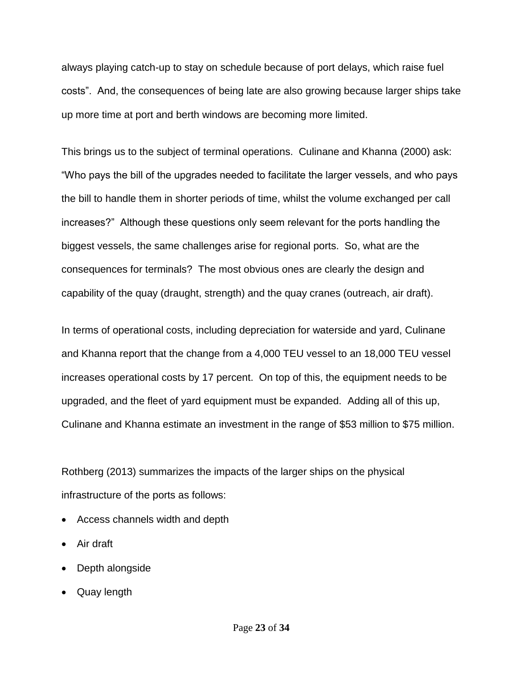always playing catch-up to stay on schedule because of port delays, which raise fuel costs". And, the consequences of being late are also growing because larger ships take up more time at port and berth windows are becoming more limited.

This brings us to the subject of terminal operations. Culinane and Khanna (2000) ask: "Who pays the bill of the upgrades needed to facilitate the larger vessels, and who pays the bill to handle them in shorter periods of time, whilst the volume exchanged per call increases?" Although these questions only seem relevant for the ports handling the biggest vessels, the same challenges arise for regional ports. So, what are the consequences for terminals? The most obvious ones are clearly the design and capability of the quay (draught, strength) and the quay cranes (outreach, air draft).

In terms of operational costs, including depreciation for waterside and yard, Culinane and Khanna report that the change from a 4,000 TEU vessel to an 18,000 TEU vessel increases operational costs by 17 percent. On top of this, the equipment needs to be upgraded, and the fleet of yard equipment must be expanded. Adding all of this up, Culinane and Khanna estimate an investment in the range of \$53 million to \$75 million.

Rothberg (2013) summarizes the impacts of the larger ships on the physical infrastructure of the ports as follows:

- Access channels width and depth
- Air draft
- Depth alongside
- Quay length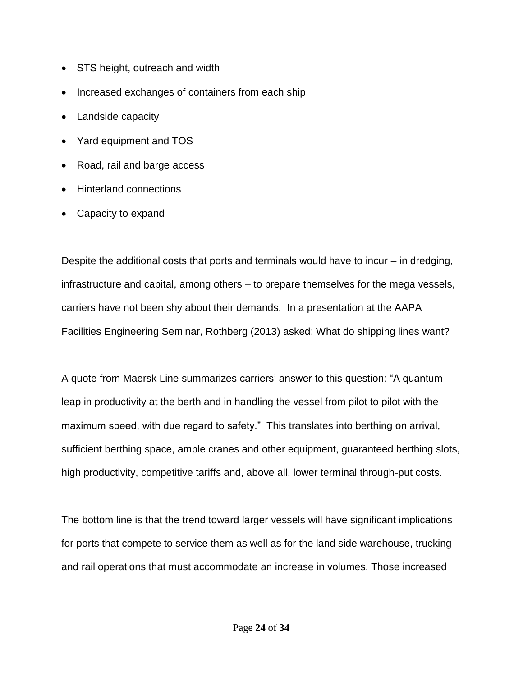- STS height, outreach and width
- Increased exchanges of containers from each ship
- Landside capacity
- Yard equipment and TOS
- Road, rail and barge access
- Hinterland connections
- Capacity to expand

Despite the additional costs that ports and terminals would have to incur – in dredging, infrastructure and capital, among others – to prepare themselves for the mega vessels, carriers have not been shy about their demands. In a presentation at the AAPA Facilities Engineering Seminar, Rothberg (2013) asked: What do shipping lines want?

A quote from Maersk Line summarizes carriers' answer to this question: "A quantum leap in productivity at the berth and in handling the vessel from pilot to pilot with the maximum speed, with due regard to safety." This translates into berthing on arrival, sufficient berthing space, ample cranes and other equipment, guaranteed berthing slots, high productivity, competitive tariffs and, above all, lower terminal through-put costs.

The bottom line is that the trend toward larger vessels will have significant implications for ports that compete to service them as well as for the land side warehouse, trucking and rail operations that must accommodate an increase in volumes. Those increased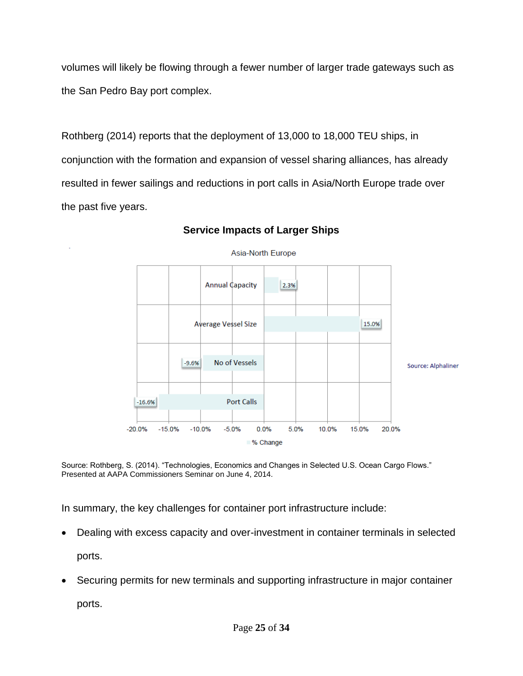volumes will likely be flowing through a fewer number of larger trade gateways such as the San Pedro Bay port complex.

Rothberg (2014) reports that the deployment of 13,000 to 18,000 TEU ships, in conjunction with the formation and expansion of vessel sharing alliances, has already resulted in fewer sailings and reductions in port calls in Asia/North Europe trade over the past five years.



## **Service Impacts of Larger Ships**

Source: Rothberg, S. (2014). "Technologies, Economics and Changes in Selected U.S. Ocean Cargo Flows." Presented at AAPA Commissioners Seminar on June 4, 2014.

In summary, the key challenges for container port infrastructure include:

- Dealing with excess capacity and over-investment in container terminals in selected ports.
- Securing permits for new terminals and supporting infrastructure in major container ports.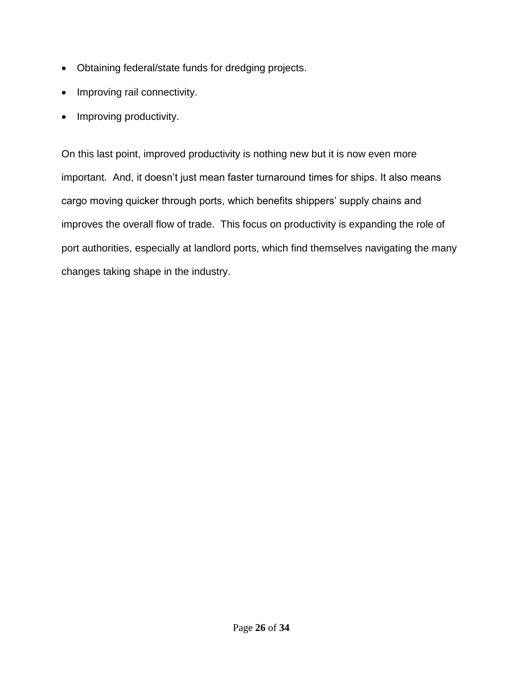- Obtaining federal/state funds for dredging projects.
- Improving rail connectivity.
- Improving productivity.

On this last point, improved productivity is nothing new but it is now even more important. And, it doesn't just mean faster turnaround times for ships. It also means cargo moving quicker through ports, which benefits shippers' supply chains and improves the overall flow of trade. This focus on productivity is expanding the role of port authorities, especially at landlord ports, which find themselves navigating the many changes taking shape in the industry.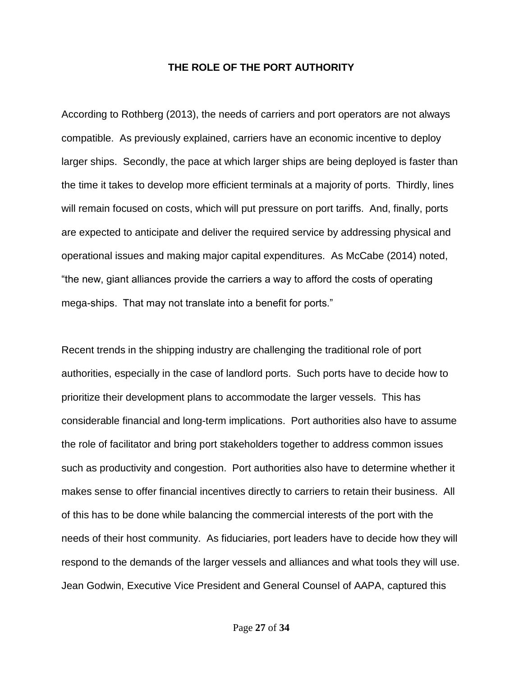## **THE ROLE OF THE PORT AUTHORITY**

According to Rothberg (2013), the needs of carriers and port operators are not always compatible. As previously explained, carriers have an economic incentive to deploy larger ships. Secondly, the pace at which larger ships are being deployed is faster than the time it takes to develop more efficient terminals at a majority of ports. Thirdly, lines will remain focused on costs, which will put pressure on port tariffs. And, finally, ports are expected to anticipate and deliver the required service by addressing physical and operational issues and making major capital expenditures. As McCabe (2014) noted, "the new, giant alliances provide the carriers a way to afford the costs of operating mega-ships. That may not translate into a benefit for ports."

Recent trends in the shipping industry are challenging the traditional role of port authorities, especially in the case of landlord ports. Such ports have to decide how to prioritize their development plans to accommodate the larger vessels. This has considerable financial and long-term implications. Port authorities also have to assume the role of facilitator and bring port stakeholders together to address common issues such as productivity and congestion. Port authorities also have to determine whether it makes sense to offer financial incentives directly to carriers to retain their business. All of this has to be done while balancing the commercial interests of the port with the needs of their host community. As fiduciaries, port leaders have to decide how they will respond to the demands of the larger vessels and alliances and what tools they will use. Jean Godwin, Executive Vice President and General Counsel of AAPA, captured this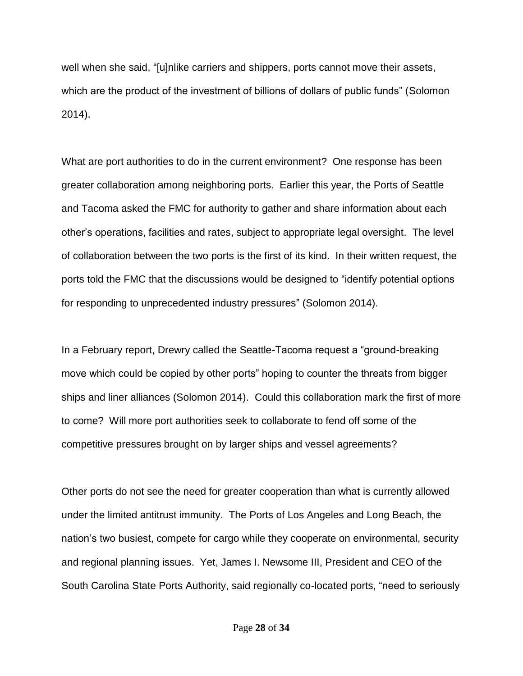well when she said, "[u]nlike carriers and shippers, ports cannot move their assets, which are the product of the investment of billions of dollars of public funds" (Solomon 2014).

What are port authorities to do in the current environment? One response has been greater collaboration among neighboring ports. Earlier this year, the Ports of Seattle and Tacoma asked the FMC for authority to gather and share information about each other's operations, facilities and rates, subject to appropriate legal oversight. The level of collaboration between the two ports is the first of its kind. In their written request, the ports told the FMC that the discussions would be designed to "identify potential options for responding to unprecedented industry pressures" (Solomon 2014).

In a February report, Drewry called the Seattle-Tacoma request a "ground-breaking move which could be copied by other ports" hoping to counter the threats from bigger ships and liner alliances (Solomon 2014). Could this collaboration mark the first of more to come? Will more port authorities seek to collaborate to fend off some of the competitive pressures brought on by larger ships and vessel agreements?

Other ports do not see the need for greater cooperation than what is currently allowed under the limited antitrust immunity. The Ports of Los Angeles and Long Beach, the nation's two busiest, compete for cargo while they cooperate on environmental, security and regional planning issues. Yet, James I. Newsome III, President and CEO of the South Carolina State Ports Authority, said regionally co-located ports, "need to seriously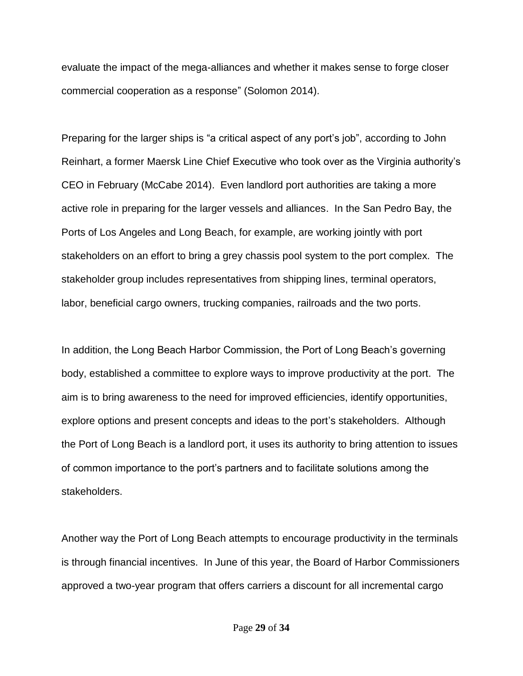evaluate the impact of the mega-alliances and whether it makes sense to forge closer commercial cooperation as a response" (Solomon 2014).

Preparing for the larger ships is "a critical aspect of any port's job", according to John Reinhart, a former Maersk Line Chief Executive who took over as the Virginia authority's CEO in February (McCabe 2014). Even landlord port authorities are taking a more active role in preparing for the larger vessels and alliances. In the San Pedro Bay, the Ports of Los Angeles and Long Beach, for example, are working jointly with port stakeholders on an effort to bring a grey chassis pool system to the port complex. The stakeholder group includes representatives from shipping lines, terminal operators, labor, beneficial cargo owners, trucking companies, railroads and the two ports.

In addition, the Long Beach Harbor Commission, the Port of Long Beach's governing body, established a committee to explore ways to improve productivity at the port. The aim is to bring awareness to the need for improved efficiencies, identify opportunities, explore options and present concepts and ideas to the port's stakeholders. Although the Port of Long Beach is a landlord port, it uses its authority to bring attention to issues of common importance to the port's partners and to facilitate solutions among the stakeholders.

Another way the Port of Long Beach attempts to encourage productivity in the terminals is through financial incentives. In June of this year, the Board of Harbor Commissioners approved a two-year program that offers carriers a discount for all incremental cargo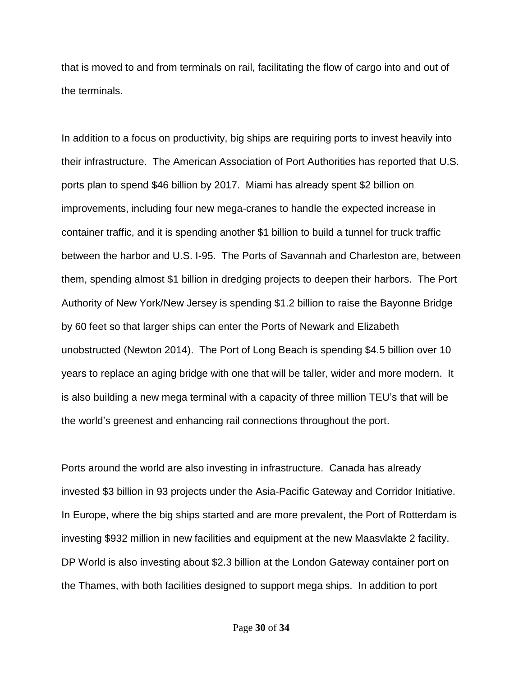that is moved to and from terminals on rail, facilitating the flow of cargo into and out of the terminals.

In addition to a focus on productivity, big ships are requiring ports to invest heavily into their infrastructure. The American Association of Port Authorities has reported that U.S. ports plan to spend \$46 billion by 2017. Miami has already spent \$2 billion on improvements, including four new mega-cranes to handle the expected increase in container traffic, and it is spending another \$1 billion to build a tunnel for truck traffic between the harbor and U.S. I-95. The Ports of Savannah and Charleston are, between them, spending almost \$1 billion in dredging projects to deepen their harbors. The Port Authority of New York/New Jersey is spending \$1.2 billion to raise the Bayonne Bridge by 60 feet so that larger ships can enter the Ports of Newark and Elizabeth unobstructed (Newton 2014). The Port of Long Beach is spending \$4.5 billion over 10 years to replace an aging bridge with one that will be taller, wider and more modern. It is also building a new mega terminal with a capacity of three million TEU's that will be the world's greenest and enhancing rail connections throughout the port.

Ports around the world are also investing in infrastructure. Canada has already invested \$3 billion in 93 projects under the Asia-Pacific Gateway and Corridor Initiative. In Europe, where the big ships started and are more prevalent, the Port of Rotterdam is investing \$932 million in new facilities and equipment at the new Maasvlakte 2 facility. DP World is also investing about \$2.3 billion at the London Gateway container port on the Thames, with both facilities designed to support mega ships. In addition to port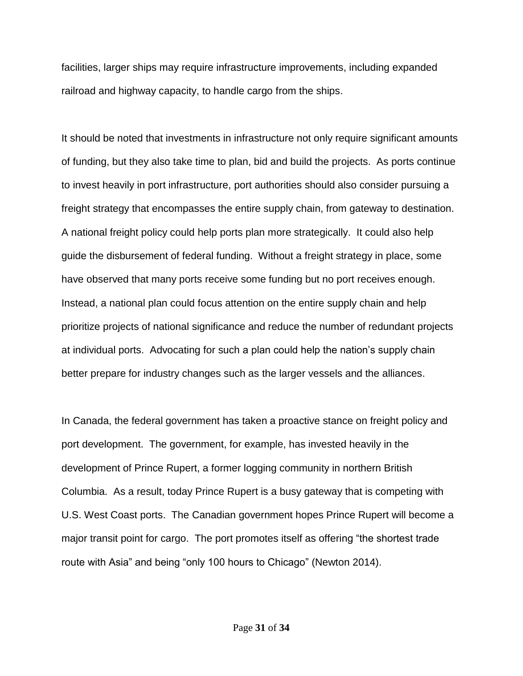facilities, larger ships may require infrastructure improvements, including expanded railroad and highway capacity, to handle cargo from the ships.

It should be noted that investments in infrastructure not only require significant amounts of funding, but they also take time to plan, bid and build the projects. As ports continue to invest heavily in port infrastructure, port authorities should also consider pursuing a freight strategy that encompasses the entire supply chain, from gateway to destination. A national freight policy could help ports plan more strategically. It could also help guide the disbursement of federal funding. Without a freight strategy in place, some have observed that many ports receive some funding but no port receives enough. Instead, a national plan could focus attention on the entire supply chain and help prioritize projects of national significance and reduce the number of redundant projects at individual ports. Advocating for such a plan could help the nation's supply chain better prepare for industry changes such as the larger vessels and the alliances.

In Canada, the federal government has taken a proactive stance on freight policy and port development. The government, for example, has invested heavily in the development of Prince Rupert, a former logging community in northern British Columbia. As a result, today Prince Rupert is a busy gateway that is competing with U.S. West Coast ports. The Canadian government hopes Prince Rupert will become a major transit point for cargo. The port promotes itself as offering "the shortest trade route with Asia" and being "only 100 hours to Chicago" (Newton 2014).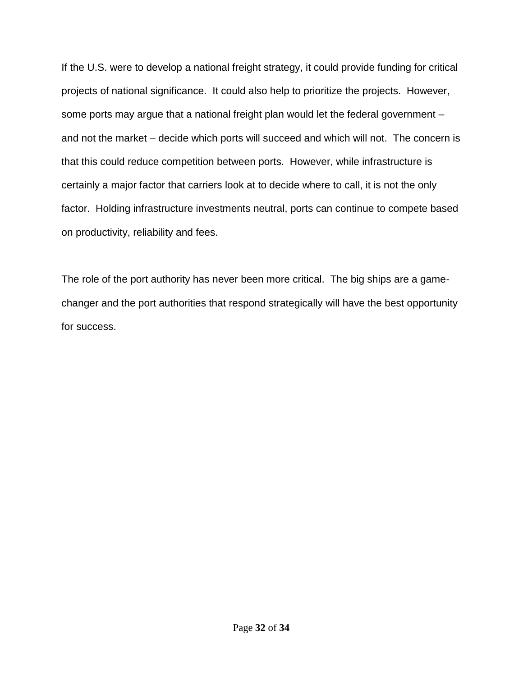If the U.S. were to develop a national freight strategy, it could provide funding for critical projects of national significance. It could also help to prioritize the projects. However, some ports may argue that a national freight plan would let the federal government – and not the market – decide which ports will succeed and which will not. The concern is that this could reduce competition between ports. However, while infrastructure is certainly a major factor that carriers look at to decide where to call, it is not the only factor. Holding infrastructure investments neutral, ports can continue to compete based on productivity, reliability and fees.

The role of the port authority has never been more critical. The big ships are a gamechanger and the port authorities that respond strategically will have the best opportunity for success.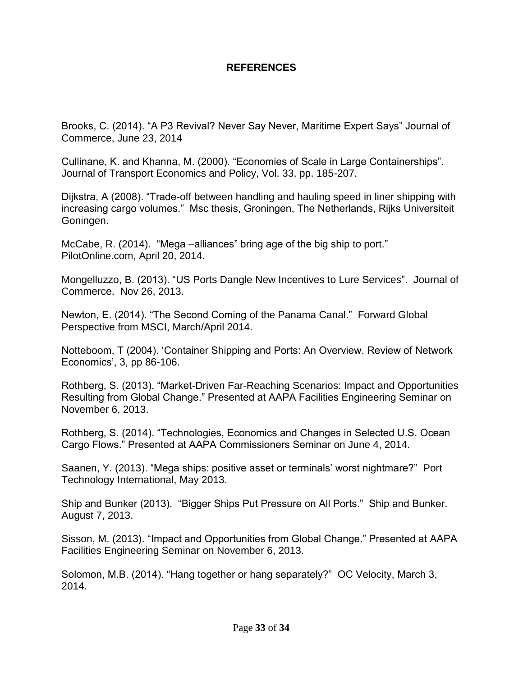## **REFERENCES**

Brooks, C. (2014). "A P3 Revival? Never Say Never, Maritime Expert Says" Journal of Commerce, June 23, 2014

Cullinane, K. and Khanna, M. (2000). "Economies of Scale in Large Containerships". Journal of Transport Economics and Policy, Vol. 33, pp. 185-207.

Dijkstra, A (2008). "Trade-off between handling and hauling speed in liner shipping with increasing cargo volumes." Msc thesis, Groningen, The Netherlands, Rijks Universiteit Goningen.

McCabe, R. (2014). "Mega –alliances" bring age of the big ship to port." PilotOnline.com, April 20, 2014.

[Mongelluzzo,](http://www.joc.com/users/bmongelluzzojoccom) B. (2013). "US Ports Dangle New Incentives to Lure Services". Journal of Commerce. Nov 26, 2013.

Newton, E. (2014). "The Second Coming of the Panama Canal." Forward Global Perspective from MSCI, March/April 2014.

Notteboom, T (2004). 'Container Shipping and Ports: An Overview. Review of Network Economics', 3, pp 86-106.

Rothberg, S. (2013). "Market-Driven Far-Reaching Scenarios: Impact and Opportunities Resulting from Global Change." Presented at AAPA Facilities Engineering Seminar on November 6, 2013.

Rothberg, S. (2014). "Technologies, Economics and Changes in Selected U.S. Ocean Cargo Flows." Presented at AAPA Commissioners Seminar on June 4, 2014.

Saanen, Y. (2013). "Mega ships: positive asset or terminals' worst nightmare?" Port Technology International, May 2013.

Ship and Bunker (2013). "Bigger Ships Put Pressure on All Ports." Ship and Bunker. August 7, 2013.

Sisson, M. (2013). "Impact and Opportunities from Global Change." Presented at AAPA Facilities Engineering Seminar on November 6, 2013.

Solomon, M.B. (2014). "Hang together or hang separately?" OC Velocity, March 3, 2014.